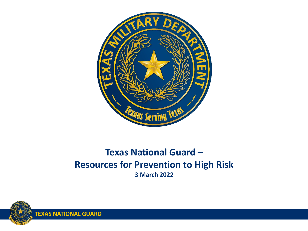

### **Texas National Guard – Resources for Prevention to High Risk 3 March 2022**

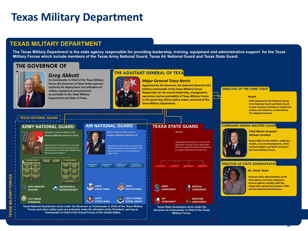# **Texas Military Department**

### **TEXAS MILITARY DEPARTMENT**

**The Texas Military Department is the state agency responsible for providing leadership, training, equipment and administrative support for the Texas Military Forces which include members of the Texas Army National Guard, Texas Air National Guard and Texas State Guard.**

### **THE GOVERNOR OF**



**As Commander In Chief of the Texas Military Forces the Governor of Texas holds supreme authority for deployment and utilization of military equipment and personnel accountable to the Texas Military Department and State of Texas. Greg Abbott** 

### **THE ADJUTANT GENERAL OF TEXA**

*Major General Tracy Norris*

**Appointed by the Governor, the Adjutant General is the military commander of the Texas Military Forces. Responsible for the overall leadership, management, operations and accountability of Texas Military Forces as the governing officer, policy maker, and head of the Texas Military Department.** 

#### **DIRECTOR OF THE JOINT STAFF**

*Vacant*

**Staff composed of Air National Guard, Army National Guard and State Guard service members working to implement policies and initiatives as directed by The Adjutant General.** 

### **TEXAS NATIONAL GUARD**

#### **ARMY NATIONAL GUARD**



**36TH INFANTRY DIVISION** 

**Fig.** 71ST TROOP **COMMAND**

Appointed by the Governor to assist the Adjutant General in the command and administration of more than 18,000 Army National Guard Soldiers.

**RECRUITING & RETENTION BATT.**

**That True** 

*Brigadier General Monie Ulis Deputy Adjutant General- Army*

### **AIR NATIONAL GUARD**



**254TH COMBAT COMM. GROUP**

#### **TEXAS STATE GUARD**

*Vacant*

Appointed by the Governor to train and administer members of the Texas State Guard to support the Domestic Response by augmenting National Guard units.



**COMPONENT** *COMPONENT* 

**Texas State Guardsmen serve under the Governor as Commander in Chief of the Texas Military Forces.**

#### **COMMAND SENIOR ENLISTED LEADER**



**Responsible for the welfare, readiness, morale, care and development, of the enlisted soldiers and NCO's serving in the Texas Military Forces.** 

#### **DIRECTOR OF STATE ADMINISTRATION**



**Oversees daily administration of the state agency and state employees. Ensures agency complies with the cooperative agreement between TMD and the National Guard Bureau.**

2

**Commander in Chief of the Armed Forces of the United States. Texas National Guardsmen serve under the Governor as Commander in Chief of the Texas Military Forces and when called upon are activated under the direction of the President, serving as** 

**147TH ATTACK WING**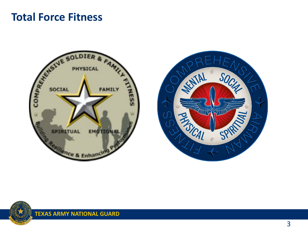### **Total Force Fitness**





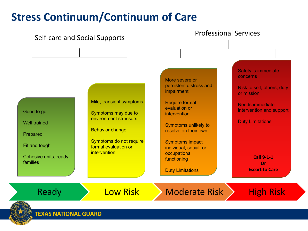# **Stress Continuum/Continuum of Care**

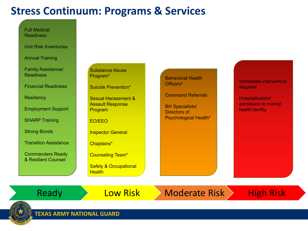# **Stress Continuum: Programs & Services**

Full Medical Readiness

Unit Risk Inventories

Annual Training

Family Assistance/ Readiness

Financial Readiness

**Resiliency** 

Employment Support

SHARP Training

Strong Bonds

Transition Assistance

Commanders Ready & Resilient Counsel

Substance Abuse Program\*

Suicide Prevention\*

Sexual Harassment & Assault Response Program

EO/EEO

Inspector General

Chaplains\*

Counseling Team\*

Safety & Occupational **Health** 

Behavioral Health Officers\*

Command Referrals

BH Specialists/ Directors of Psychological Health\* Immediate intervention required

Hospitalization/ admission to mental health facility

Ready **Low Risk Moderate Risk High Risk** 

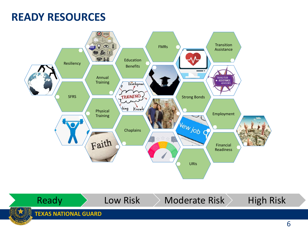## **READY RESOURCES**



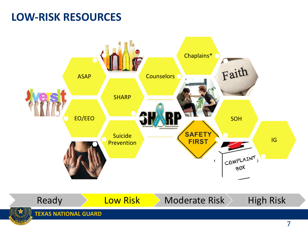# **LOW-RISK RESOURCES**

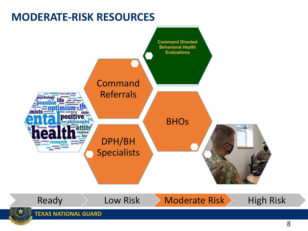# **MODERATE-RISK RESOURCES**

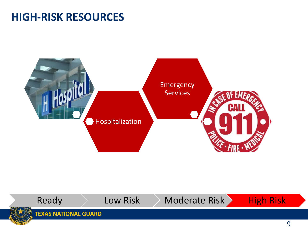### **HIGH-RISK RESOURCES**